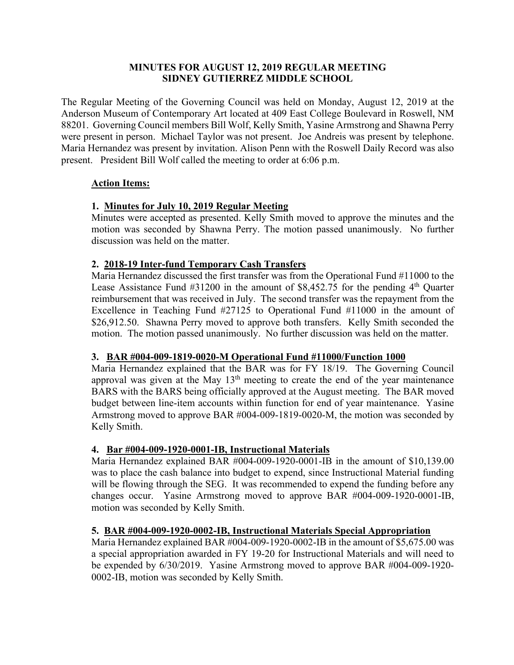### **MINUTES FOR AUGUST 12, 2019 REGULAR MEETING SIDNEY GUTIERREZ MIDDLE SCHOOL**

The Regular Meeting of the Governing Council was held on Monday, August 12, 2019 at the Anderson Museum of Contemporary Art located at 409 East College Boulevard in Roswell, NM 88201. Governing Council members Bill Wolf, Kelly Smith, Yasine Armstrong and Shawna Perry were present in person. Michael Taylor was not present. Joe Andreis was present by telephone. Maria Hernandez was present by invitation. Alison Penn with the Roswell Daily Record was also present. President Bill Wolf called the meeting to order at 6:06 p.m.

#### **Action Items:**

## **1. Minutes for July 10, 2019 Regular Meeting**

Minutes were accepted as presented. Kelly Smith moved to approve the minutes and the motion was seconded by Shawna Perry. The motion passed unanimously. No further discussion was held on the matter.

#### **2. 2018-19 Inter-fund Temporary Cash Transfers**

Maria Hernandez discussed the first transfer was from the Operational Fund #11000 to the Lease Assistance Fund  $#31200$  in the amount of \$8,452.75 for the pending  $4<sup>th</sup>$  Ouarter reimbursement that was received in July. The second transfer was the repayment from the Excellence in Teaching Fund #27125 to Operational Fund #11000 in the amount of \$26,912.50. Shawna Perry moved to approve both transfers. Kelly Smith seconded the motion. The motion passed unanimously. No further discussion was held on the matter.

## **3. BAR #004-009-1819-0020-M Operational Fund #11000/Function 1000**

Maria Hernandez explained that the BAR was for FY 18/19. The Governing Council approval was given at the May  $13<sup>th</sup>$  meeting to create the end of the year maintenance BARS with the BARS being officially approved at the August meeting. The BAR moved budget between line-item accounts within function for end of year maintenance. Yasine Armstrong moved to approve BAR #004-009-1819-0020-M, the motion was seconded by Kelly Smith.

## **4. Bar #004-009-1920-0001-IB, Instructional Materials**

Maria Hernandez explained BAR #004-009-1920-0001-IB in the amount of \$10,139.00 was to place the cash balance into budget to expend, since Instructional Material funding will be flowing through the SEG. It was recommended to expend the funding before any changes occur. Yasine Armstrong moved to approve BAR #004-009-1920-0001-IB, motion was seconded by Kelly Smith.

## **5. BAR #004-009-1920-0002-IB, Instructional Materials Special Appropriation**

Maria Hernandez explained BAR #004-009-1920-0002-IB in the amount of \$5,675.00 was a special appropriation awarded in FY 19-20 for Instructional Materials and will need to be expended by 6/30/2019. Yasine Armstrong moved to approve BAR #004-009-1920- 0002-IB, motion was seconded by Kelly Smith.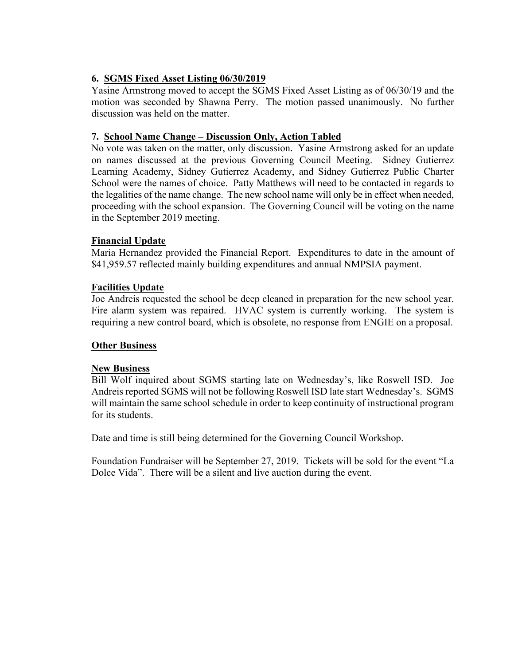# **6. SGMS Fixed Asset Listing 06/30/2019**

Yasine Armstrong moved to accept the SGMS Fixed Asset Listing as of 06/30/19 and the motion was seconded by Shawna Perry. The motion passed unanimously. No further discussion was held on the matter.

## **7. School Name Change – Discussion Only, Action Tabled**

No vote was taken on the matter, only discussion. Yasine Armstrong asked for an update on names discussed at the previous Governing Council Meeting. Sidney Gutierrez Learning Academy, Sidney Gutierrez Academy, and Sidney Gutierrez Public Charter School were the names of choice. Patty Matthews will need to be contacted in regards to the legalities of the name change. The new school name will only be in effect when needed, proceeding with the school expansion. The Governing Council will be voting on the name in the September 2019 meeting.

#### **Financial Update**

Maria Hernandez provided the Financial Report. Expenditures to date in the amount of \$41,959.57 reflected mainly building expenditures and annual NMPSIA payment.

#### **Facilities Update**

Joe Andreis requested the school be deep cleaned in preparation for the new school year. Fire alarm system was repaired. HVAC system is currently working. The system is requiring a new control board, which is obsolete, no response from ENGIE on a proposal.

#### **Other Business**

#### **New Business**

Bill Wolf inquired about SGMS starting late on Wednesday's, like Roswell ISD. Joe Andreis reported SGMS will not be following Roswell ISD late start Wednesday's. SGMS will maintain the same school schedule in order to keep continuity of instructional program for its students.

Date and time is still being determined for the Governing Council Workshop.

Foundation Fundraiser will be September 27, 2019. Tickets will be sold for the event "La Dolce Vida". There will be a silent and live auction during the event.